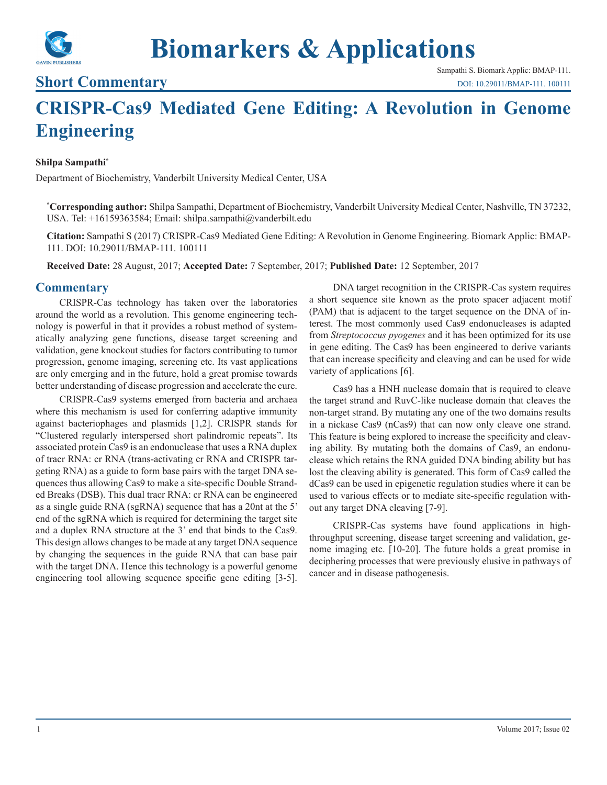

# **Biomarkers & Applications**

### **Short Commentary**

Sampathi S. Biomark Applic: BMAP-111. [DOI: 10.29011/BMAP-111. 100111](http://doi.org/10.29011/BMAP-111. 100111)

## **CRISPR-Cas9 Mediated Gene Editing: A Revolution in Genome Engineering**

#### **Shilpa Sampathi\***

Department of Biochemistry, Vanderbilt University Medical Center, USA

**\* Corresponding author:** Shilpa Sampathi, Department of Biochemistry, Vanderbilt University Medical Center, Nashville, TN 37232, USA. Tel: +16159363584; Email: shilpa.sampathi@vanderbilt.edu

**Citation:** Sampathi S (2017) CRISPR-Cas9 Mediated Gene Editing: A Revolution in Genome Engineering. Biomark Applic: BMAP-111. DOI: 10.29011/BMAP-111. 100111

**Received Date:** 28 August, 2017; **Accepted Date:** 7 September, 2017; **Published Date:** 12 September, 2017

#### **Commentary**

CRISPR-Cas technology has taken over the laboratories around the world as a revolution. This genome engineering technology is powerful in that it provides a robust method of systematically analyzing gene functions, disease target screening and validation, gene knockout studies for factors contributing to tumor progression, genome imaging, screening etc. Its vast applications are only emerging and in the future, hold a great promise towards better understanding of disease progression and accelerate the cure.

CRISPR-Cas9 systems emerged from bacteria and archaea where this mechanism is used for conferring adaptive immunity against bacteriophages and plasmids [1,2]. CRISPR stands for "Clustered regularly interspersed short palindromic repeats". Its associated protein Cas9 is an endonuclease that uses a RNA duplex of tracr RNA: cr RNA (trans-activating cr RNA and CRISPR targeting RNA) as a guide to form base pairs with the target DNA sequences thus allowing Cas9 to make a site-specific Double Stranded Breaks (DSB). This dual tracr RNA: cr RNA can be engineered as a single guide RNA (sgRNA) sequence that has a 20nt at the 5' end of the sgRNA which is required for determining the target site and a duplex RNA structure at the 3' end that binds to the Cas9. This design allows changes to be made at any target DNA sequence by changing the sequences in the guide RNA that can base pair with the target DNA. Hence this technology is a powerful genome engineering tool allowing sequence specific gene editing [3-5].

DNA target recognition in the CRISPR-Cas system requires a short sequence site known as the proto spacer adjacent motif (PAM) that is adjacent to the target sequence on the DNA of interest. The most commonly used Cas9 endonucleases is adapted from *Streptococcus pyogenes* and it has been optimized for its use in gene editing. The Cas9 has been engineered to derive variants that can increase specificity and cleaving and can be used for wide variety of applications [6].

Cas9 has a HNH nuclease domain that is required to cleave the target strand and RuvC-like nuclease domain that cleaves the non-target strand. By mutating any one of the two domains results in a nickase Cas9 (nCas9) that can now only cleave one strand. This feature is being explored to increase the specificity and cleaving ability. By mutating both the domains of Cas9, an endonuclease which retains the RNA guided DNA binding ability but has lost the cleaving ability is generated. This form of Cas9 called the dCas9 can be used in epigenetic regulation studies where it can be used to various effects or to mediate site-specific regulation without any target DNA cleaving [7-9].

CRISPR-Cas systems have found applications in highthroughput screening, disease target screening and validation, genome imaging etc. [10-20]. The future holds a great promise in deciphering processes that were previously elusive in pathways of cancer and in disease pathogenesis.